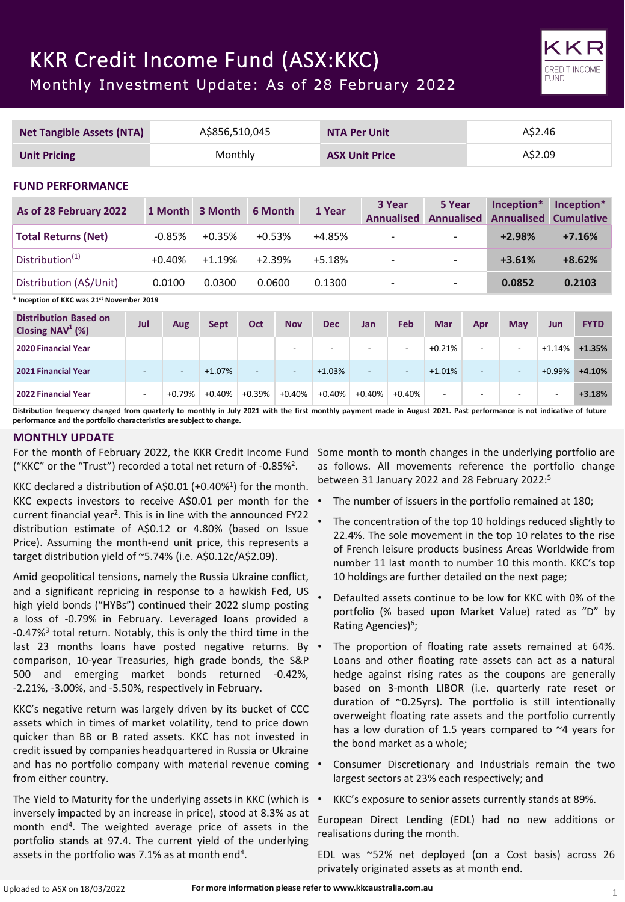# KKR Credit Income Fund (ASX:KKC)

Monthly Investment Update: As of 28 February 2022

| <b>Net Tangible Assets (NTA)</b>                    |                          |                          | A\$856,510,045 |                       |                          | <b>NTA Per Unit</b>      |                          |                             |                             |                          | A\$2.46                         |                          |                                 |
|-----------------------------------------------------|--------------------------|--------------------------|----------------|-----------------------|--------------------------|--------------------------|--------------------------|-----------------------------|-----------------------------|--------------------------|---------------------------------|--------------------------|---------------------------------|
| <b>Unit Pricing</b>                                 |                          |                          | Monthly        | <b>ASX Unit Price</b> |                          |                          | A\$2.09                  |                             |                             |                          |                                 |                          |                                 |
|                                                     | <b>FUND PERFORMANCE</b>  |                          |                |                       |                          |                          |                          |                             |                             |                          |                                 |                          |                                 |
| As of 28 February 2022                              |                          | 1 Month                  | 3 Month        | 6 Month               |                          | 1 Year                   |                          | 3 Year<br><b>Annualised</b> | 5 Year<br><b>Annualised</b> |                          | Inception*<br><b>Annualised</b> |                          | Inception*<br><b>Cumulative</b> |
| <b>Total Returns (Net)</b>                          |                          | $-0.85%$                 | $+0.35%$       | $+0.53%$              |                          | $+4.85%$                 |                          |                             |                             |                          | $+2.98%$                        |                          | $+7.16%$                        |
| Distribution <sup>(1)</sup>                         |                          | $+0.40%$                 | $+1.19%$       | $+2.39%$              |                          | +5.18%                   |                          |                             |                             |                          | $+3.61%$                        |                          | $+8.62%$                        |
| Distribution (A\$/Unit)                             |                          | 0.0100                   | 0.0300         | 0.0600                |                          | 0.1300                   |                          |                             |                             |                          | 0.0852                          |                          | 0.2103                          |
| * Inception of KKC was 21st November 2019           |                          |                          |                |                       |                          |                          |                          |                             |                             |                          |                                 |                          |                                 |
| <b>Distribution Based on</b><br>Closing $NAV^1$ (%) | Jul                      | <b>Aug</b>               | <b>Sept</b>    | <b>Oct</b>            | <b>Nov</b>               | <b>Dec</b>               | <b>Jan</b>               | Feb                         | <b>Mar</b>                  | Apr                      | May                             | <b>Jun</b>               | <b>FYTD</b>                     |
| <b>2020 Financial Year</b>                          |                          |                          |                |                       | ٠                        | $\overline{\phantom{a}}$ | $\overline{\phantom{a}}$ | ٠                           | $+0.21%$                    | ٠                        |                                 | $+1.14%$                 | $+1.35%$                        |
| 2021 Financial Year                                 | $\overline{\phantom{a}}$ | $\overline{\phantom{a}}$ | $+1.07%$       | $\overline{a}$        | $\overline{\phantom{a}}$ | $+1.03%$                 | $\overline{a}$           | $\overline{a}$              | $+1.01%$                    | $\blacksquare$           | $\overline{\phantom{a}}$        | $+0.99%$                 | $+4.10%$                        |
| <b>2022 Financial Year</b>                          | $\overline{\phantom{a}}$ | $+0.79%$                 | $+0.40%$       | $+0.39%$              | $+0.40%$                 | $+0.40%$                 | $+0.40%$                 | $+0.40%$                    | $\overline{\phantom{a}}$    | $\overline{\phantom{a}}$ |                                 | $\overline{\phantom{a}}$ | $+3.18%$                        |

Distribution frequency changed from quarterly to monthly in July 2021 with the first monthly payment made in August 2021. Past performance is not indicative of future **performance and the portfolio characteristics are subject to change.**

# **MONTHLY UPDATE**

For the month of February 2022, the KKR Credit Income Fund ("KKC" or the "Trust") recorded a total net return of -0.85%2.

KKC declared a distribution of A\$0.01 (+0.40%<sup>1</sup>) for the month. KKC expects investors to receive A\$0.01 per month for the current financial year2. This is in line with the announced FY22 distribution estimate of A\$0.12 or 4.80% (based on Issue Price). Assuming the month-end unit price, this represents a target distribution yield of ~5.74% (i.e. A\$0.12c/A\$2.09).

Amid geopolitical tensions, namely the Russia Ukraine conflict, and a significant repricing in response to a hawkish Fed, US high yield bonds ("HYBs") continued their 2022 slump posting a loss of -0.79% in February. Leveraged loans provided a -0.47%3 total return. Notably, this is only the third time in the last 23 months loans have posted negative returns. By comparison, 10-year Treasuries, high grade bonds, the S&P 500 and emerging market bonds returned -0.42%, -2.21%, -3.00%, and -5.50%, respectively in February.

KKC's negative return was largely driven by its bucket of CCC assets which in times of market volatility, tend to price down quicker than BB or B rated assets. KKC has not invested in credit issued by companies headquartered in Russia or Ukraine and has no portfolio company with material revenue coming . from either country.

The Yield to Maturity for the underlying assets in KKC (which is inversely impacted by an increase in price), stood at 8.3% as at month end4. The weighted average price of assets in the portfolio stands at 97.4. The current yield of the underlying assets in the portfolio was 7.1% as at month end<sup>4</sup>.

Some month to month changes in the underlying portfolio are as follows. All movements reference the portfolio change between 31 January 2022 and 28 February 2022: 5

**FUND** 

- The number of issuers in the portfolio remained at 180;
- The concentration of the top 10 holdings reduced slightly to 22.4%. The sole movement in the top 10 relates to the rise of French leisure products business Areas Worldwide from number 11 last month to number 10 this month. KKC's top 10 holdings are further detailed on the next page;
- Defaulted assets continue to be low for KKC with 0% of the portfolio (% based upon Market Value) rated as "D" by Rating Agencies)<sup>6</sup>;
- The proportion of floating rate assets remained at 64%. Loans and other floating rate assets can act as a natural hedge against rising rates as the coupons are generally based on 3-month LIBOR (i.e. quarterly rate reset or duration of ~0.25yrs). The portfolio is still intentionally overweight floating rate assets and the portfolio currently has a low duration of 1.5 years compared to ~4 years for the bond market as a whole;
- Consumer Discretionary and Industrials remain the two largest sectors at 23% each respectively; and
- KKC's exposure to senior assets currently stands at 89%.

European Direct Lending (EDL) had no new additions or realisations during the month.

EDL was ~52% net deployed (on a Cost basis) across 26 privately originated assets as at month end.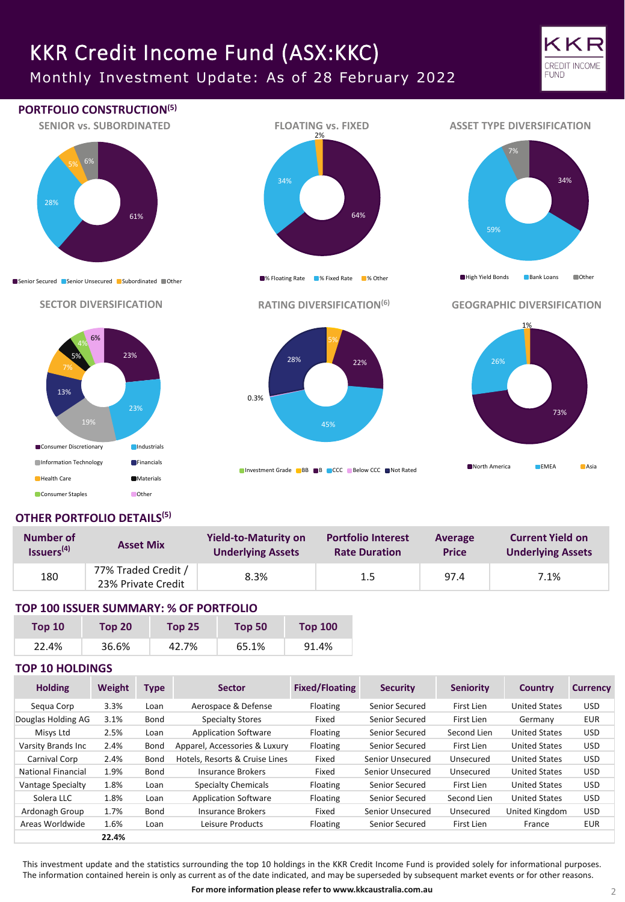# KKR Credit Income Fund (ASX:KKC)

Monthly Investment Update: As of 28 February 2022





# **OTHER PORTFOLIO DETAILS(5)**

| Number of              | <b>Asset Mix</b>                          | <b>Yield-to-Maturity on</b> | <b>Portfolio Interest</b> | Average      | <b>Current Yield on</b>  |
|------------------------|-------------------------------------------|-----------------------------|---------------------------|--------------|--------------------------|
| Issuers <sup>(4)</sup> |                                           | <b>Underlying Assets</b>    | <b>Rate Duration</b>      | <b>Price</b> | <b>Underlying Assets</b> |
| 180                    | 77% Traded Credit /<br>23% Private Credit | 8.3%                        | 1.5                       | 97.4         | 7.1%                     |

# **TOP 100 ISSUER SUMMARY: % OF PORTFOLIO**

| Top 10 | Top 20 | Top $251$ | Top 50 | <b>Top 100</b> |
|--------|--------|-----------|--------|----------------|
| 22.4%  | 36.6%  | 42.7%     | 65.1%  | 91.4%          |

### **TOP 10 HOLDINGS**

| <b>Holding</b>            | Weight | <b>Type</b> | <b>Sector</b>                  | <b>Fixed/Floating</b> | <b>Security</b>  | <b>Seniority</b> | Country              | <b>Currency</b> |
|---------------------------|--------|-------------|--------------------------------|-----------------------|------------------|------------------|----------------------|-----------------|
| Segua Corp                | 3.3%   | Loan        | Aerospace & Defense            | Floating              | Senior Secured   | First Lien       | <b>United States</b> | <b>USD</b>      |
| Douglas Holding AG        | 3.1%   | Bond        | <b>Specialty Stores</b>        | Fixed                 | Senior Secured   | First Lien       | Germany              | <b>EUR</b>      |
| Misys Ltd                 | 2.5%   | Loan        | <b>Application Software</b>    | Floating              | Senior Secured   | Second Lien      | <b>United States</b> | <b>USD</b>      |
| Varsity Brands Inc        | 2.4%   | Bond        | Apparel, Accessories & Luxury  | Floating              | Senior Secured   | First Lien       | <b>United States</b> | <b>USD</b>      |
| Carnival Corp             | 2.4%   | Bond        | Hotels. Resorts & Cruise Lines | Fixed                 | Senior Unsecured | Unsecured        | <b>United States</b> | <b>USD</b>      |
| <b>National Financial</b> | 1.9%   | Bond        | Insurance Brokers              | Fixed                 | Senior Unsecured | Unsecured        | <b>United States</b> | <b>USD</b>      |
| <b>Vantage Specialty</b>  | 1.8%   | Loan        | <b>Specialty Chemicals</b>     | Floating              | Senior Secured   | First Lien       | <b>United States</b> | USD.            |
| Solera LLC                | 1.8%   | Loan        | <b>Application Software</b>    | Floating              | Senior Secured   | Second Lien      | <b>United States</b> | USD.            |
| Ardonagh Group            | 1.7%   | Bond        | Insurance Brokers              | Fixed                 | Senior Unsecured | Unsecured        | United Kingdom       | <b>USD</b>      |
| Areas Worldwide           | 1.6%   | Loan        | Leisure Products               | Floating              | Senior Secured   | First Lien       | France               | <b>EUR</b>      |
|                           | 22.4%  |             |                                |                       |                  |                  |                      |                 |

This investment update and the statistics surrounding the top 10 holdings in the KKR Credit Income Fund is provided solely for informational purposes. The information contained herein is only as current as of the date indicated, and may be superseded by subsequent market events or for other reasons.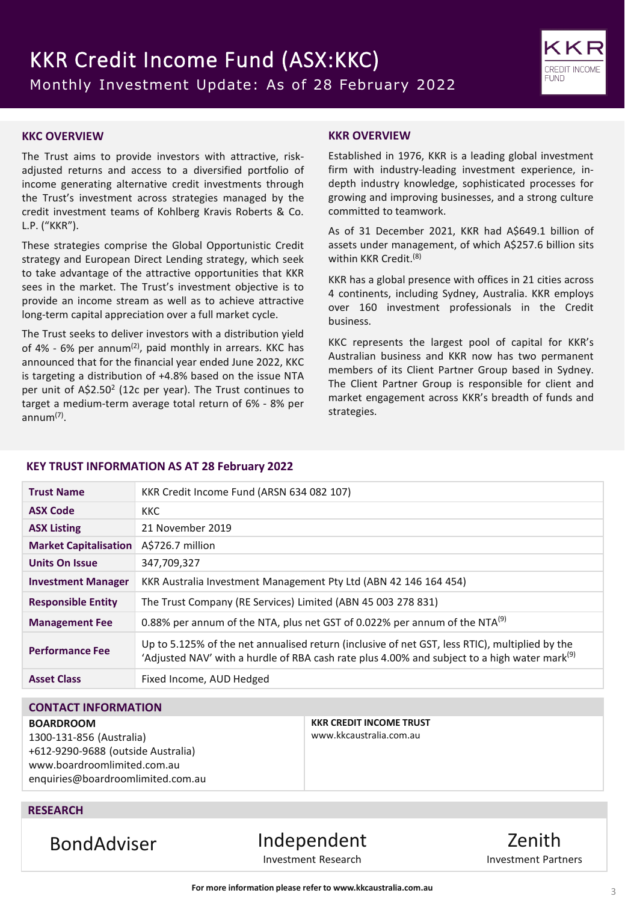

### **KKC OVERVIEW**

The Trust aims to provide investors with attractive, riskadjusted returns and access to a diversified portfolio of income generating alternative credit investments through the Trust's investment across strategies managed by the credit investment teams of Kohlberg Kravis Roberts & Co. L.P. ("KKR").

These strategies comprise the Global Opportunistic Credit strategy and European Direct Lending strategy, which seek to take advantage of the attractive opportunities that KKR sees in the market. The Trust's investment objective is to provide an income stream as well as to achieve attractive long-term capital appreciation over a full market cycle.

The Trust seeks to deliver investors with a distribution yield of 4% - 6% per annum<sup>(2)</sup>, paid monthly in arrears. KKC has announced that for the financial year ended June 2022, KKC is targeting a distribution of +4.8% based on the issue NTA per unit of A\$2.50<sup>2</sup> (12c per year). The Trust continues to target a medium-term average total return of 6% - 8% per annum(7) .

### **KKR OVERVIEW**

Established in 1976, KKR is a leading global investment firm with industry-leading investment experience, indepth industry knowledge, sophisticated processes for growing and improving businesses, and a strong culture committed to teamwork.

As of 31 December 2021, KKR had A\$649.1 billion of assets under management, of which A\$257.6 billion sits within KKR Credit. (8)

KKR has a global presence with offices in 21 cities across 4 continents, including Sydney, Australia. KKR employs over 160 investment professionals in the Credit business.

KKC represents the largest pool of capital for KKR's Australian business and KKR now has two permanent members of its Client Partner Group based in Sydney. The Client Partner Group is responsible for client and market engagement across KKR's breadth of funds and strategies.

#### **KEY TRUST INFORMATION AS AT 28 February 2022**

| <b>Trust Name</b>            | KKR Credit Income Fund (ARSN 634 082 107)                                                                                                                                                                  |
|------------------------------|------------------------------------------------------------------------------------------------------------------------------------------------------------------------------------------------------------|
| <b>ASX Code</b>              | <b>KKC</b>                                                                                                                                                                                                 |
| <b>ASX Listing</b>           | 21 November 2019                                                                                                                                                                                           |
| <b>Market Capitalisation</b> | A\$726.7 million                                                                                                                                                                                           |
| <b>Units On Issue</b>        | 347,709,327                                                                                                                                                                                                |
| <b>Investment Manager</b>    | KKR Australia Investment Management Pty Ltd (ABN 42 146 164 454)                                                                                                                                           |
| <b>Responsible Entity</b>    | The Trust Company (RE Services) Limited (ABN 45 003 278 831)                                                                                                                                               |
| <b>Management Fee</b>        | 0.88% per annum of the NTA, plus net GST of 0.022% per annum of the NTA <sup>(9)</sup>                                                                                                                     |
| <b>Performance Fee</b>       | Up to 5.125% of the net annualised return (inclusive of net GST, less RTIC), multiplied by the<br>'Adjusted NAV' with a hurdle of RBA cash rate plus 4.00% and subject to a high water mark <sup>(9)</sup> |
| <b>Asset Class</b>           | Fixed Income, AUD Hedged                                                                                                                                                                                   |

# **CONTACT INFORMATION**

#### **BOARDROOM**

1300-131-856 (Australia) +612-9290-9688 (outside Australia) www.boardroomlimited.com.au enquiries@boardroomlimited.com.au **KKR CREDIT INCOME TRUST** www.kkcaustralia.com.au

## **RESEARCH**

BondAdviser Independent Investment Research

Zenith Investment Partners

**For more information please refer to www.kkcaustralia.com.au**